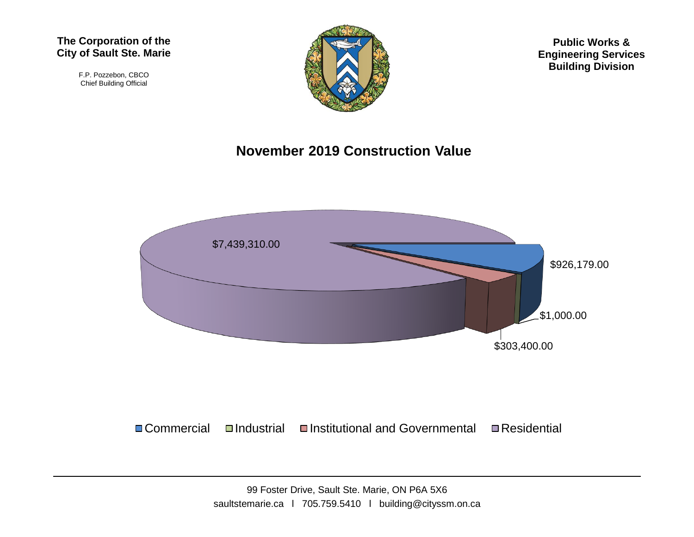#### **The Corporation of the City of Sault Ste. Marie**

F.P. Pozzebon, CBCO Chief Building Official



**Public Works & Engineering Services Building Division**

#### **November 2019 Construction Value**



■Commercial Industrial Institutional and Governmental InResidential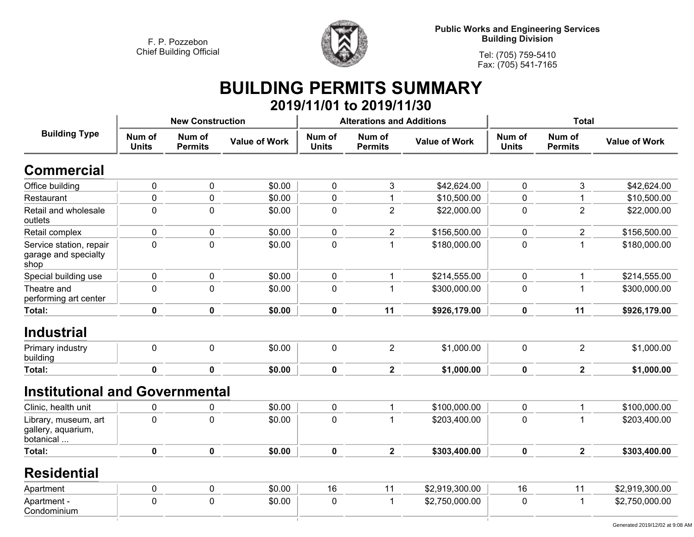

**Public Works and Engineering Services Building Division**

**Tel: (705) 759-5410 Fax: (705) 541-7165**

## **BUILDING PERMITS SUMMARY 2019/11/01 to 2019/11/30**

| <b>Building Type</b>                                    |                        | <b>New Construction</b>  |                      |                        | <b>Alterations and Additions</b> |                      | <b>Total</b>           |                          |                      |
|---------------------------------------------------------|------------------------|--------------------------|----------------------|------------------------|----------------------------------|----------------------|------------------------|--------------------------|----------------------|
|                                                         | Num of<br><b>Units</b> | Num of<br><b>Permits</b> | <b>Value of Work</b> | Num of<br><b>Units</b> | Num of<br><b>Permits</b>         | <b>Value of Work</b> | Num of<br><b>Units</b> | Num of<br><b>Permits</b> | <b>Value of Work</b> |
| <b>Commercial</b>                                       |                        |                          |                      |                        |                                  |                      |                        |                          |                      |
| Office building                                         | $\mathbf 0$            | $\mathbf 0$              | \$0.00               | $\mathbf 0$            | 3                                | \$42,624.00          | $\mathbf 0$            | 3                        | \$42,624.00          |
| Restaurant                                              | $\mathbf 0$            | $\mathbf 0$              | \$0.00               | $\mathbf 0$            | $\mathbf{1}$                     | \$10,500.00          | $\mathbf 0$            | $\mathbf 1$              | \$10,500.00          |
| Retail and wholesale<br>outlets                         | $\pmb{0}$              | $\mathbf 0$              | \$0.00               | $\mathbf 0$            | $\overline{2}$                   | \$22,000.00          | $\pmb{0}$              | $\overline{2}$           | \$22,000.00          |
| Retail complex                                          | $\mathbf 0$            | $\mathbf 0$              | \$0.00               | $\mathbf 0$            | $\overline{2}$                   | \$156,500.00         | $\pmb{0}$              | $\overline{2}$           | \$156,500.00         |
| Service station, repair<br>garage and specialty<br>shop | $\mathbf 0$            | $\mathbf 0$              | \$0.00               | $\mathbf 0$            | $\mathbf{1}$                     | \$180,000.00         | $\mathbf 0$            | $\mathbf{1}$             | \$180,000.00         |
| Special building use                                    | $\pmb{0}$              | $\pmb{0}$                | \$0.00               | $\pmb{0}$              | $\mathbf{1}$                     | \$214,555.00         | $\pmb{0}$              | $\mathbf{1}$             | \$214,555.00         |
| Theatre and<br>performing art center                    | $\mathbf 0$            | $\mathbf 0$              | \$0.00               | $\mathbf 0$            | $\mathbf{1}$                     | \$300,000.00         | $\mathbf 0$            | $\mathbf{1}$             | \$300,000.00         |
| Total:                                                  | $\mathbf 0$            | $\mathbf 0$              | \$0.00               | $\mathbf 0$            | 11                               | \$926,179.00         | $\mathbf 0$            | 11                       | \$926,179.00         |
| <b>Industrial</b>                                       |                        |                          |                      |                        |                                  |                      |                        |                          |                      |
| Primary industry<br>building                            | $\mathbf 0$            | $\mathbf 0$              | \$0.00               | $\mathbf 0$            | $\overline{2}$                   | \$1,000.00           | $\pmb{0}$              | $\overline{2}$           | \$1,000.00           |
| Total:                                                  | $\mathbf 0$            | $\mathbf 0$              | \$0.00               | $\mathbf 0$            | $\overline{2}$                   | \$1,000.00           | $\pmb{0}$              | $\mathbf{2}$             | \$1,000.00           |
| <b>Institutional and Governmental</b>                   |                        |                          |                      |                        |                                  |                      |                        |                          |                      |
| Clinic, health unit                                     | 0                      | $\pmb{0}$                | \$0.00               | $\pmb{0}$              | $\mathbf{1}$                     | \$100,000.00         | $\pmb{0}$              | $\mathbf 1$              | \$100,000.00         |
| Library, museum, art<br>gallery, aquarium,<br>botanical | $\mathbf 0$            | $\mathbf{0}$             | \$0.00               | $\mathbf 0$            | $\mathbf{1}$                     | \$203,400.00         | $\mathbf 0$            | $\mathbf{1}$             | \$203,400.00         |
| Total:                                                  | $\mathbf 0$            | $\mathbf 0$              | \$0.00               | $\mathbf 0$            | $\overline{2}$                   | \$303,400.00         | $\mathbf 0$            | $\overline{2}$           | \$303,400.00         |
| <b>Residential</b>                                      |                        |                          |                      |                        |                                  |                      |                        |                          |                      |
| Apartment                                               | $\pmb{0}$              | $\mathbf 0$              | \$0.00               | 16                     | 11                               | \$2,919,300.00       | 16                     | 11                       | \$2,919,300.00       |
| Apartment -<br>Condominium                              | $\mathbf 0$            | $\mathbf 0$              | \$0.00               | $\mathbf 0$            | $\mathbf{1}$                     | \$2,750,000.00       | 0                      | $\mathbf 1$              | \$2,750,000.00       |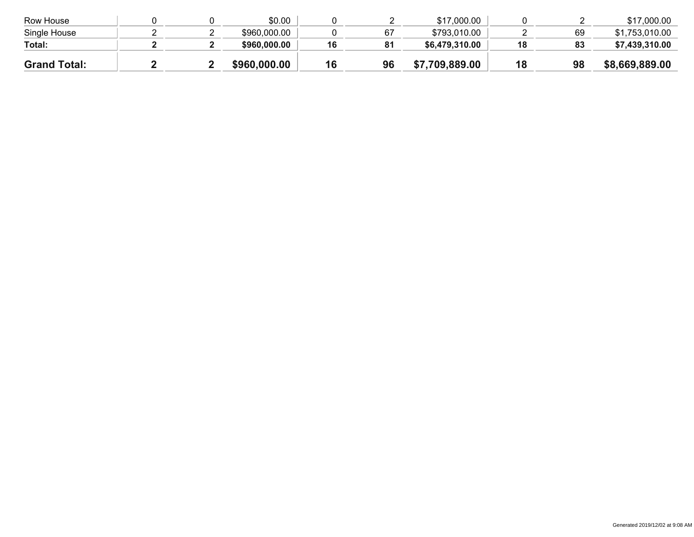| Row House           |  | \$0.00       |    |    | \$17,000.00    |    |    | \$17,000.00    |
|---------------------|--|--------------|----|----|----------------|----|----|----------------|
| Single House        |  | \$960,000.00 |    | 67 | \$793,010.00   |    | 69 | \$1,753,010.00 |
| Total:              |  | \$960,000.00 | 16 | 81 | \$6,479,310.00 | 18 | 83 | \$7,439,310.00 |
| <b>Grand Total:</b> |  | \$960,000.00 |    | 96 | \$7,709,889.00 | 18 | 98 | \$8,669,889.00 |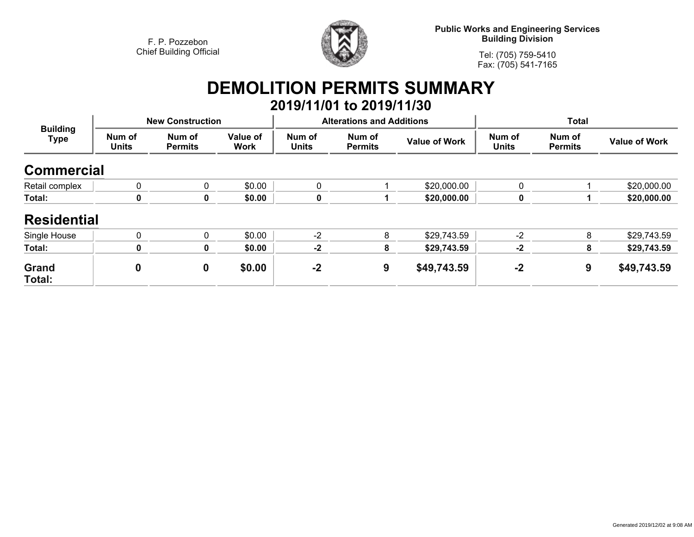

**Public Works and Engineering Services Building Division**

**Tel: (705) 759-5410Fax: (705) 541-7165**

# **DEMOLITION PERMITS SUMMARY**

|                                |                        |                          |                         |                        | 2019/11/01 to 2019/11/30         |                      |                        |                          |                      |
|--------------------------------|------------------------|--------------------------|-------------------------|------------------------|----------------------------------|----------------------|------------------------|--------------------------|----------------------|
| <b>Building</b><br><b>Type</b> |                        | <b>New Construction</b>  |                         |                        | <b>Alterations and Additions</b> |                      | <b>Total</b>           |                          |                      |
|                                | Num of<br><b>Units</b> | Num of<br><b>Permits</b> | Value of<br><b>Work</b> | Num of<br><b>Units</b> | Num of<br><b>Permits</b>         | <b>Value of Work</b> | Num of<br><b>Units</b> | Num of<br><b>Permits</b> | <b>Value of Work</b> |
| <b>Commercial</b>              |                        |                          |                         |                        |                                  |                      |                        |                          |                      |
| Retail complex                 | $\mathbf{0}$           | 0                        | \$0.00                  | 0                      |                                  | \$20,000.00          | 0                      |                          | \$20,000.00          |
| Total:                         | 0                      | 0                        | \$0.00                  | 0                      |                                  | \$20,000.00          | 0                      |                          | \$20,000.00          |
| <b>Residential</b>             |                        |                          |                         |                        |                                  |                      |                        |                          |                      |
| Single House                   | $\mathbf{0}$           | 0                        | \$0.00                  | $-2$                   | 8                                | \$29,743.59          | $-2$                   | 8                        | \$29,743.59          |
| Total:                         | 0                      | 0                        | \$0.00                  | $-2$                   | 8                                | \$29,743.59          | $-2$                   | 8                        | \$29,743.59          |
| Grand<br>Total:                | $\boldsymbol{0}$       | 0                        | \$0.00                  | $-2$                   | 9                                | \$49,743.59          | $-2$                   | 9                        | \$49,743.59          |